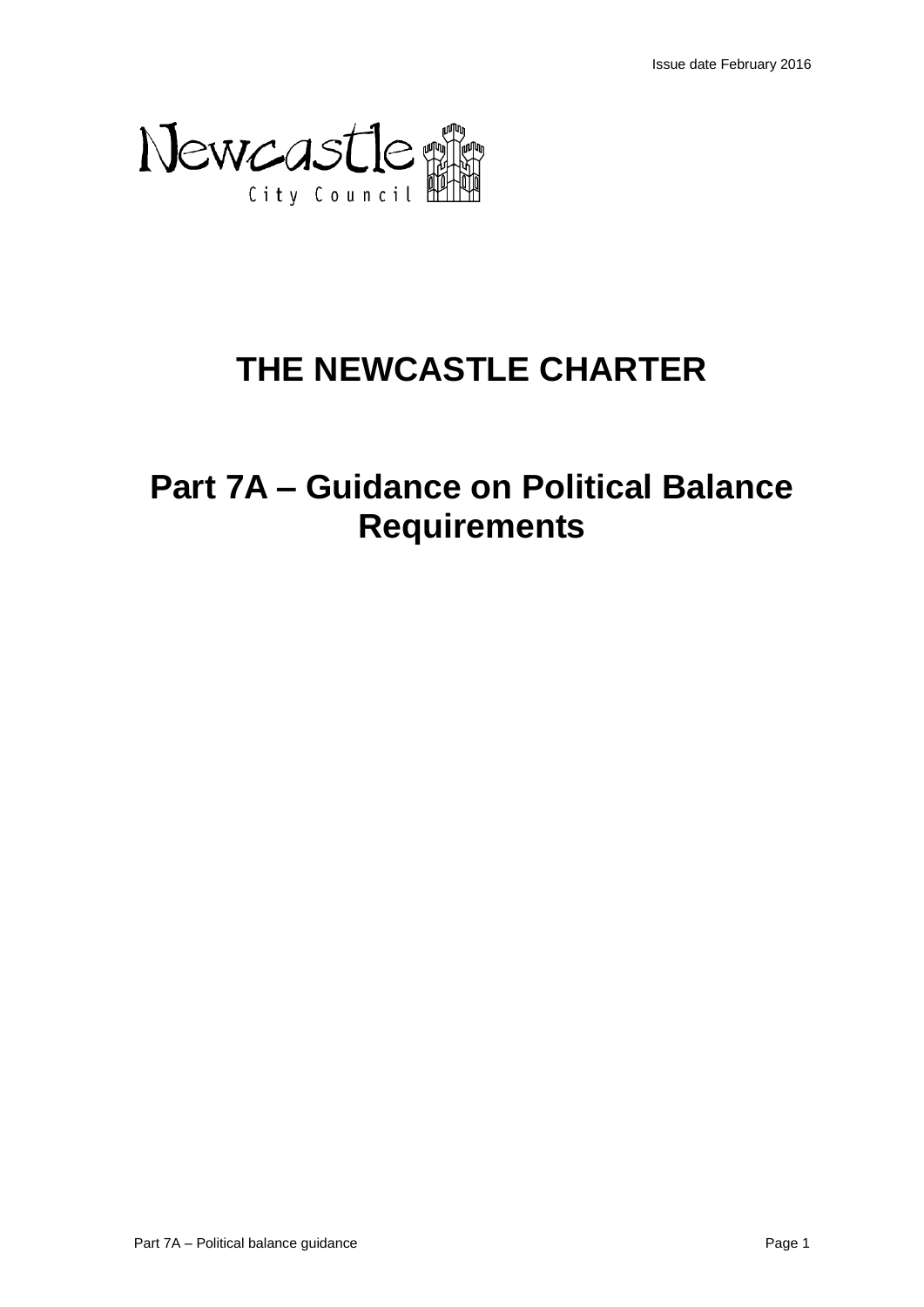

# **THE NEWCASTLE CHARTER**

# **Part 7A – Guidance on Political Balance Requirements**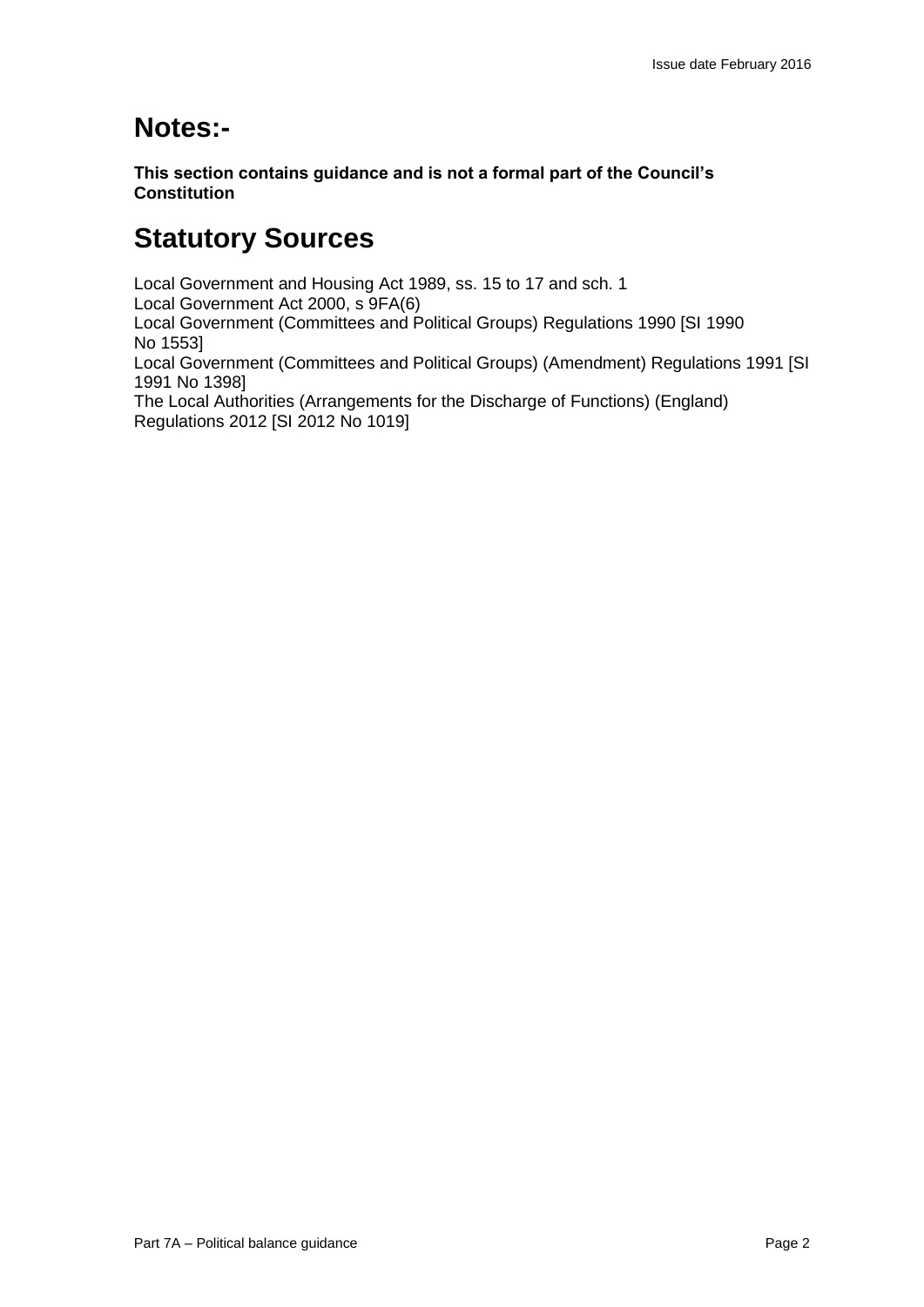## **Notes:-**

**This section contains guidance and is not a formal part of the Council's Constitution**

## **Statutory Sources**

Local Government and Housing Act 1989, ss. 15 to 17 and sch. 1 Local Government Act 2000, s 9FA(6) Local Government (Committees and Political Groups) Regulations 1990 [SI 1990 No 1553] Local Government (Committees and Political Groups) (Amendment) Regulations 1991 [SI 1991 No 1398] The Local Authorities (Arrangements for the Discharge of Functions) (England) Regulations 2012 [SI 2012 No 1019]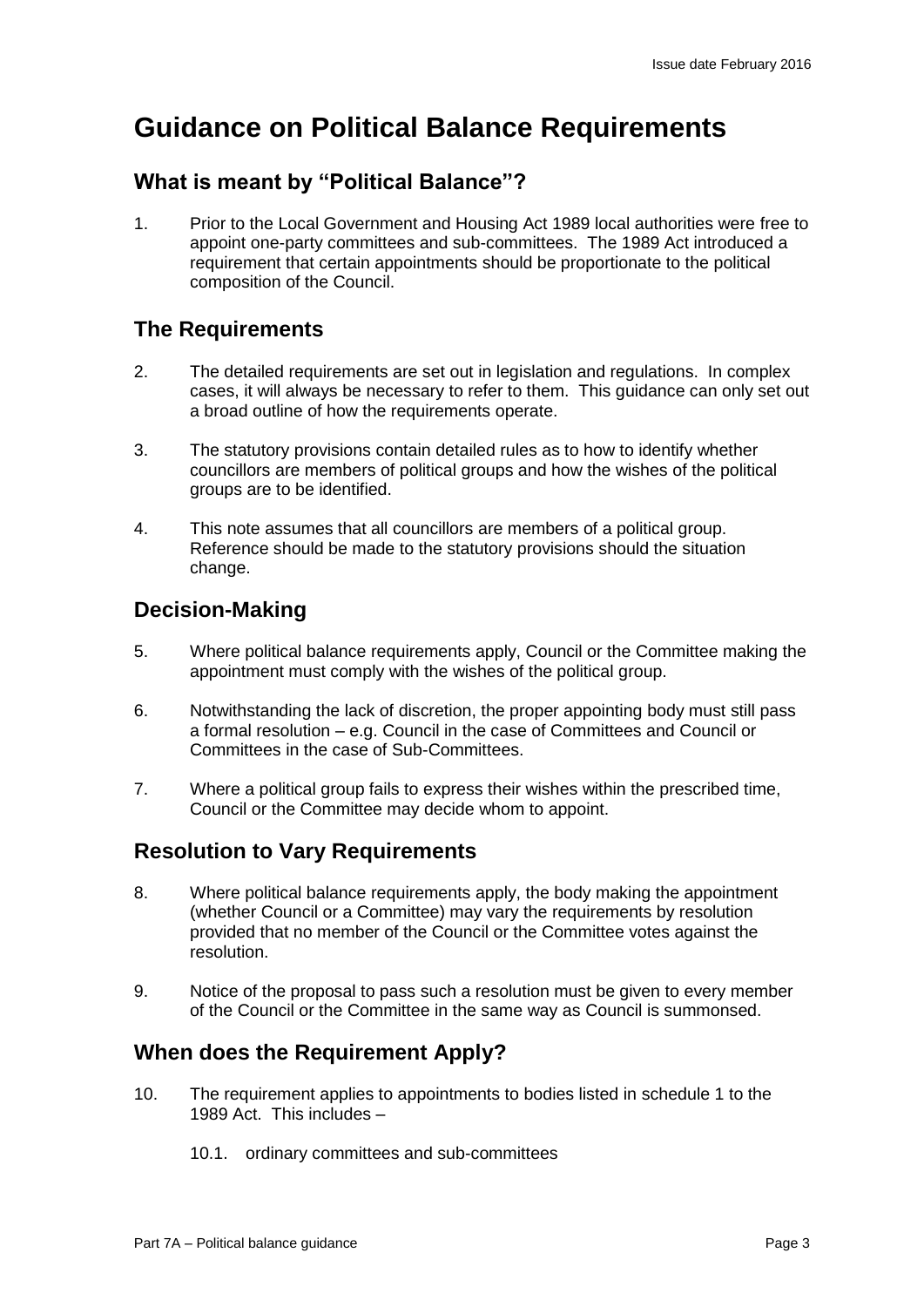## **Guidance on Political Balance Requirements**

### **What is meant by "Political Balance"?**

1. Prior to the Local Government and Housing Act 1989 local authorities were free to appoint one-party committees and sub-committees. The 1989 Act introduced a requirement that certain appointments should be proportionate to the political composition of the Council.

#### **The Requirements**

- 2. The detailed requirements are set out in legislation and regulations. In complex cases, it will always be necessary to refer to them. This guidance can only set out a broad outline of how the requirements operate.
- 3. The statutory provisions contain detailed rules as to how to identify whether councillors are members of political groups and how the wishes of the political groups are to be identified.
- 4. This note assumes that all councillors are members of a political group. Reference should be made to the statutory provisions should the situation change.

### **Decision-Making**

- 5. Where political balance requirements apply, Council or the Committee making the appointment must comply with the wishes of the political group.
- 6. Notwithstanding the lack of discretion, the proper appointing body must still pass a formal resolution – e.g. Council in the case of Committees and Council or Committees in the case of Sub-Committees.
- 7. Where a political group fails to express their wishes within the prescribed time, Council or the Committee may decide whom to appoint.

#### **Resolution to Vary Requirements**

- 8. Where political balance requirements apply, the body making the appointment (whether Council or a Committee) may vary the requirements by resolution provided that no member of the Council or the Committee votes against the resolution.
- 9. Notice of the proposal to pass such a resolution must be given to every member of the Council or the Committee in the same way as Council is summonsed.

### **When does the Requirement Apply?**

- 10. The requirement applies to appointments to bodies listed in schedule 1 to the 1989 Act. This includes –
	- 10.1. ordinary committees and sub-committees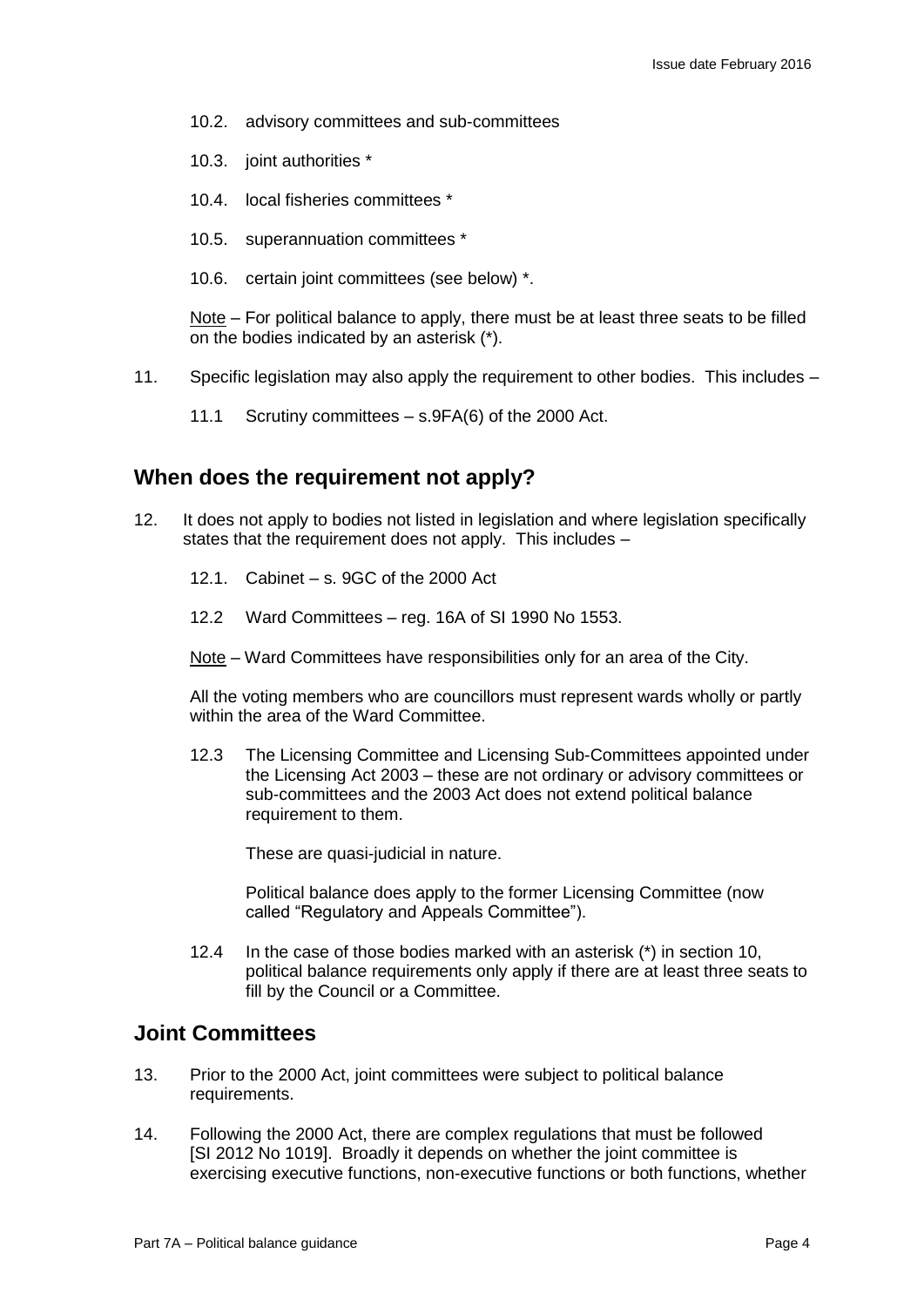- 10.2. advisory committees and sub-committees
- 10.3. joint authorities \*
- 10.4. local fisheries committees \*
- 10.5. superannuation committees \*
- 10.6. certain joint committees (see below) \*.

Note – For political balance to apply, there must be at least three seats to be filled on the bodies indicated by an asterisk (\*).

- 11. Specific legislation may also apply the requirement to other bodies. This includes
	- 11.1 Scrutiny committees s.9FA(6) of the 2000 Act.

#### **When does the requirement not apply?**

- 12. It does not apply to bodies not listed in legislation and where legislation specifically states that the requirement does not apply. This includes –
	- 12.1. Cabinet s. 9GC of the 2000 Act
	- 12.2 Ward Committees reg. 16A of SI 1990 No 1553.
	- Note Ward Committees have responsibilities only for an area of the City.

All the voting members who are councillors must represent wards wholly or partly within the area of the Ward Committee.

12.3 The Licensing Committee and Licensing Sub-Committees appointed under the Licensing Act 2003 – these are not ordinary or advisory committees or sub-committees and the 2003 Act does not extend political balance requirement to them.

These are quasi-judicial in nature.

Political balance does apply to the former Licensing Committee (now called "Regulatory and Appeals Committee").

12.4 In the case of those bodies marked with an asterisk (\*) in section 10, political balance requirements only apply if there are at least three seats to fill by the Council or a Committee.

#### **Joint Committees**

- 13. Prior to the 2000 Act, joint committees were subject to political balance requirements.
- 14. Following the 2000 Act, there are complex regulations that must be followed [SI 2012 No 1019]. Broadly it depends on whether the joint committee is exercising executive functions, non-executive functions or both functions, whether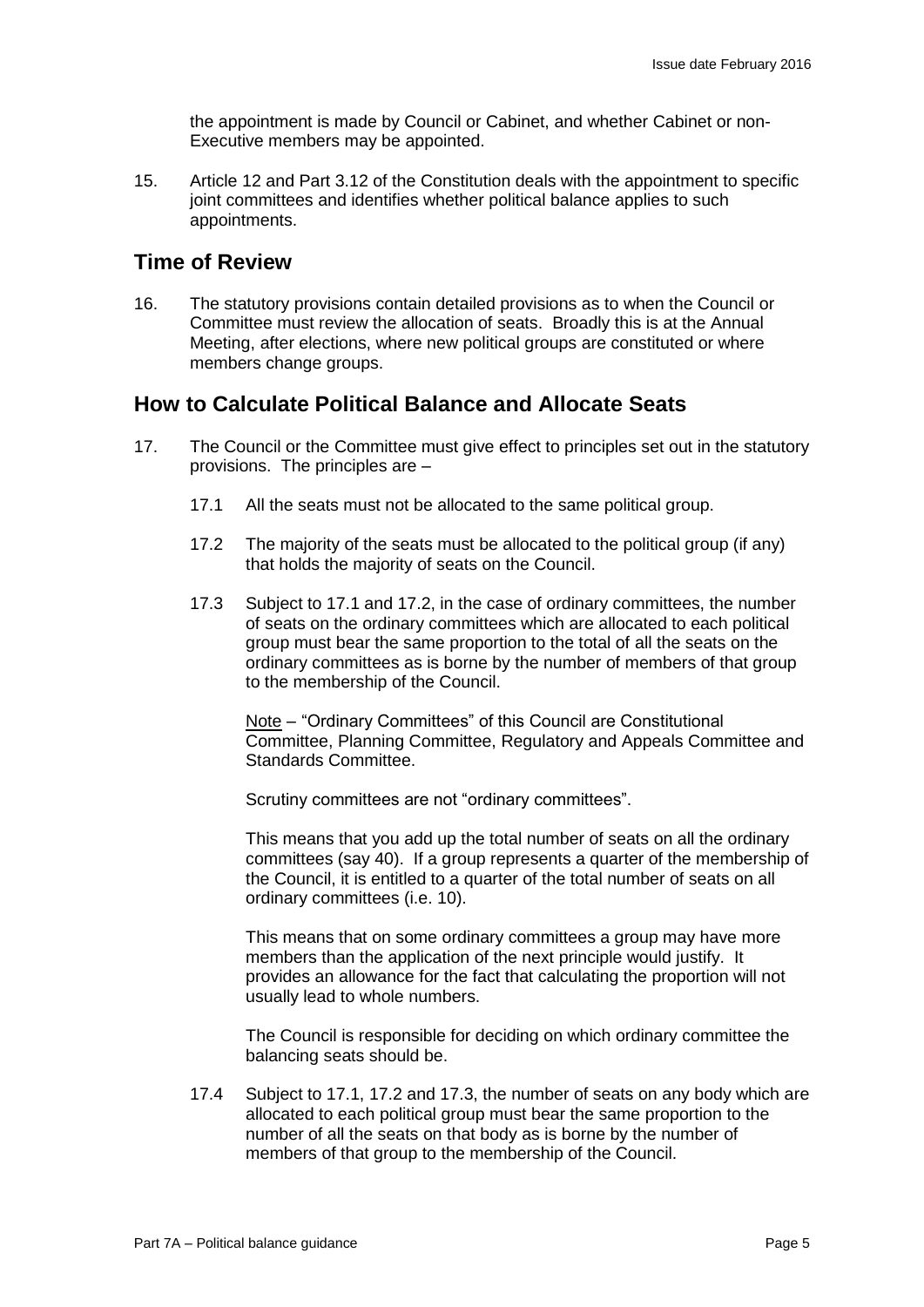the appointment is made by Council or Cabinet, and whether Cabinet or non-Executive members may be appointed.

15. Article 12 and Part 3.12 of the Constitution deals with the appointment to specific joint committees and identifies whether political balance applies to such appointments.

#### **Time of Review**

16. The statutory provisions contain detailed provisions as to when the Council or Committee must review the allocation of seats. Broadly this is at the Annual Meeting, after elections, where new political groups are constituted or where members change groups.

#### **How to Calculate Political Balance and Allocate Seats**

- 17. The Council or the Committee must give effect to principles set out in the statutory provisions. The principles are –
	- 17.1 All the seats must not be allocated to the same political group.
	- 17.2 The majority of the seats must be allocated to the political group (if any) that holds the majority of seats on the Council.
	- 17.3 Subject to 17.1 and 17.2, in the case of ordinary committees, the number of seats on the ordinary committees which are allocated to each political group must bear the same proportion to the total of all the seats on the ordinary committees as is borne by the number of members of that group to the membership of the Council.

Note – "Ordinary Committees" of this Council are Constitutional Committee, Planning Committee, Regulatory and Appeals Committee and Standards Committee.

Scrutiny committees are not "ordinary committees".

This means that you add up the total number of seats on all the ordinary committees (say 40). If a group represents a quarter of the membership of the Council, it is entitled to a quarter of the total number of seats on all ordinary committees (i.e. 10).

This means that on some ordinary committees a group may have more members than the application of the next principle would justify. It provides an allowance for the fact that calculating the proportion will not usually lead to whole numbers.

The Council is responsible for deciding on which ordinary committee the balancing seats should be.

17.4 Subject to 17.1, 17.2 and 17.3, the number of seats on any body which are allocated to each political group must bear the same proportion to the number of all the seats on that body as is borne by the number of members of that group to the membership of the Council.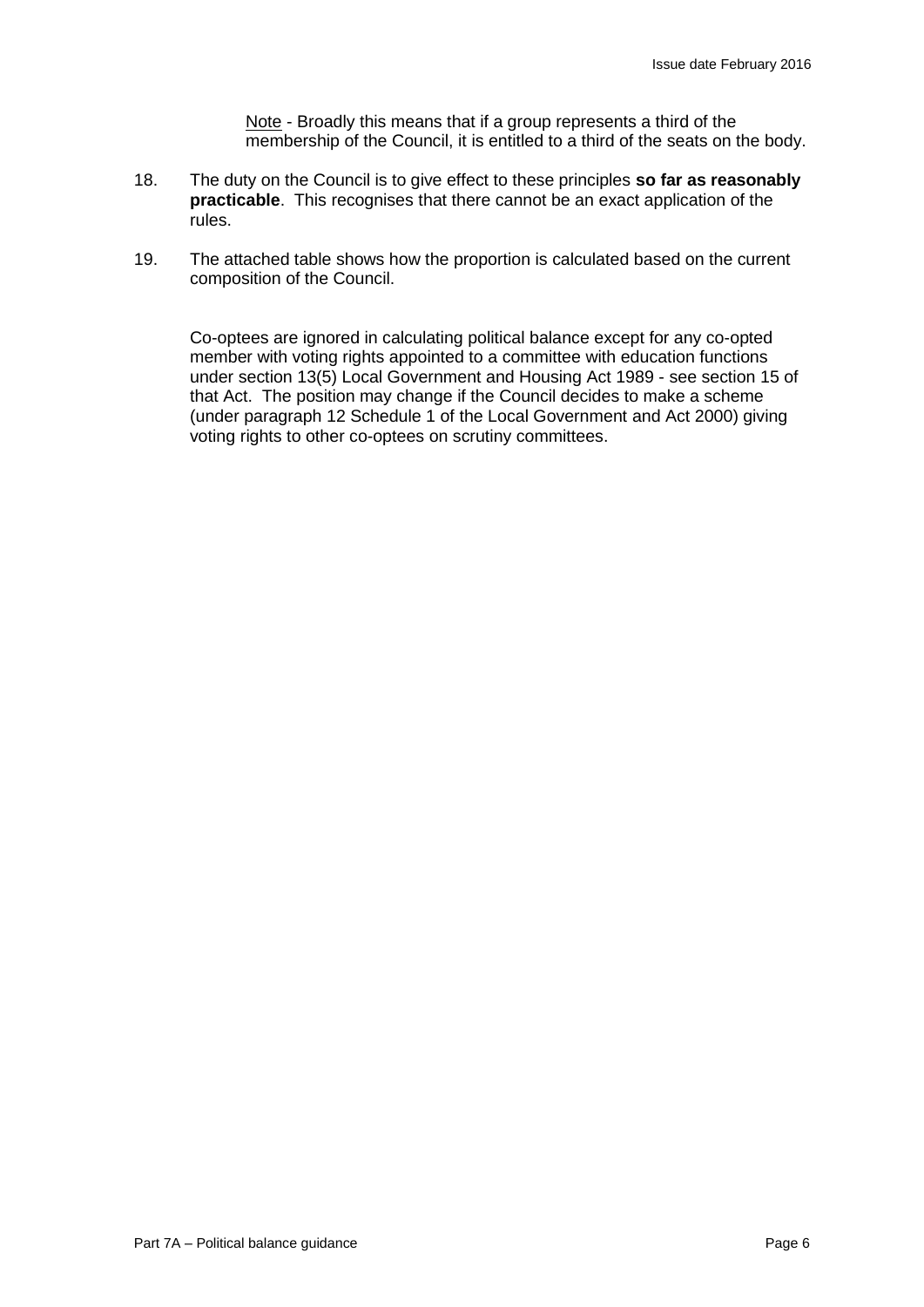Note - Broadly this means that if a group represents a third of the membership of the Council, it is entitled to a third of the seats on the body.

- 18. The duty on the Council is to give effect to these principles **so far as reasonably practicable**. This recognises that there cannot be an exact application of the rules.
- 19. The attached table shows how the proportion is calculated based on the current composition of the Council.

Co-optees are ignored in calculating political balance except for any co-opted member with voting rights appointed to a committee with education functions under section 13(5) Local Government and Housing Act 1989 - see section 15 of that Act. The position may change if the Council decides to make a scheme (under paragraph 12 Schedule 1 of the Local Government and Act 2000) giving voting rights to other co-optees on scrutiny committees.